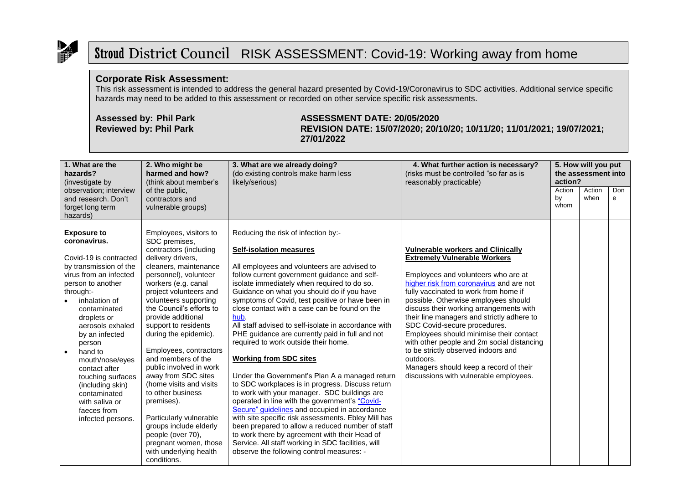

## Stroud District Council RISK ASSESSMENT: Covid-19: Working away from home

## **Corporate Risk Assessment:**

This risk assessment is intended to address the general hazard presented by Covid-19/Coronavirus to SDC activities. Additional service specific hazards may need to be added to this assessment or recorded on other service specific risk assessments.

## **Assessed by: Phil Park ASSESSMENT DATE: 20/05/2020 Reviewed by: Phil Park REVISION DATE: 15/07/2020; 20/10/20; 10/11/20; 11/01/2021; 19/07/2021; 27/01/2022**

| 1. What are the<br>hazards?<br>(investigate by                                                                                                                                                                                                                                                                                                                                                                                | 2. Who might be<br>harmed and how?<br>(think about member's                                                                                                                                                                                                                                                                                                                                                                                                                                                                                                                                                                       | 3. What are we already doing?<br>(do existing controls make harm less<br>likely/serious)                                                                                                                                                                                                                                                                                                                                                                                                                                                                                                                                                                                                                                                                                                                                                                                                                                                                                                                                                                                                   | 4. What further action is necessary?<br>(risks must be controlled "so far as is<br>reasonably practicable)                                                                                                                                                                                                                                                                                                                                                                                                                                                                                                    | 5. How will you put<br>the assessment into<br>action? |                |          |
|-------------------------------------------------------------------------------------------------------------------------------------------------------------------------------------------------------------------------------------------------------------------------------------------------------------------------------------------------------------------------------------------------------------------------------|-----------------------------------------------------------------------------------------------------------------------------------------------------------------------------------------------------------------------------------------------------------------------------------------------------------------------------------------------------------------------------------------------------------------------------------------------------------------------------------------------------------------------------------------------------------------------------------------------------------------------------------|--------------------------------------------------------------------------------------------------------------------------------------------------------------------------------------------------------------------------------------------------------------------------------------------------------------------------------------------------------------------------------------------------------------------------------------------------------------------------------------------------------------------------------------------------------------------------------------------------------------------------------------------------------------------------------------------------------------------------------------------------------------------------------------------------------------------------------------------------------------------------------------------------------------------------------------------------------------------------------------------------------------------------------------------------------------------------------------------|---------------------------------------------------------------------------------------------------------------------------------------------------------------------------------------------------------------------------------------------------------------------------------------------------------------------------------------------------------------------------------------------------------------------------------------------------------------------------------------------------------------------------------------------------------------------------------------------------------------|-------------------------------------------------------|----------------|----------|
| observation; interview<br>and research. Don't<br>forget long term<br>hazards)                                                                                                                                                                                                                                                                                                                                                 | of the public,<br>contractors and<br>vulnerable groups)                                                                                                                                                                                                                                                                                                                                                                                                                                                                                                                                                                           |                                                                                                                                                                                                                                                                                                                                                                                                                                                                                                                                                                                                                                                                                                                                                                                                                                                                                                                                                                                                                                                                                            |                                                                                                                                                                                                                                                                                                                                                                                                                                                                                                                                                                                                               | Action<br>by<br>whom                                  | Action<br>when | Don<br>e |
| <b>Exposure to</b><br>coronavirus.<br>Covid-19 is contracted<br>by transmission of the<br>virus from an infected<br>person to another<br>through:-<br>inhalation of<br>contaminated<br>droplets or<br>aerosols exhaled<br>by an infected<br>person<br>hand to<br>$\bullet$<br>mouth/nose/eyes<br>contact after<br>touching surfaces<br>(including skin)<br>contaminated<br>with saliva or<br>faeces from<br>infected persons. | Employees, visitors to<br>SDC premises,<br>contractors (including<br>delivery drivers,<br>cleaners, maintenance<br>personnel), volunteer<br>workers (e.g. canal<br>project volunteers and<br>volunteers supporting<br>the Council's efforts to<br>provide additional<br>support to residents<br>during the epidemic).<br>Employees, contractors<br>and members of the<br>public involved in work<br>away from SDC sites<br>(home visits and visits<br>to other business<br>premises).<br>Particularly vulnerable<br>groups include elderly<br>people (over 70),<br>pregnant women, those<br>with underlying health<br>conditions. | Reducing the risk of infection by:-<br><b>Self-isolation measures</b><br>All employees and volunteers are advised to<br>follow current government guidance and self-<br>isolate immediately when required to do so.<br>Guidance on what you should do if you have<br>symptoms of Covid, test positive or have been in<br>close contact with a case can be found on the<br>hub.<br>All staff advised to self-isolate in accordance with<br>PHE guidance are currently paid in full and not<br>required to work outside their home.<br><b>Working from SDC sites</b><br>Under the Government's Plan A a managed return<br>to SDC workplaces is in progress. Discuss return<br>to work with your manager. SDC buildings are<br>operated in line with the government's "Covid-<br>Secure" guidelines and occupied in accordance<br>with site specific risk assessments. Ebley Mill has<br>been prepared to allow a reduced number of staff<br>to work there by agreement with their Head of<br>Service. All staff working in SDC facilities, will<br>observe the following control measures: - | <b>Vulnerable workers and Clinically</b><br><b>Extremely Vulnerable Workers</b><br>Employees and volunteers who are at<br>higher risk from coronavirus and are not<br>fully vaccinated to work from home if<br>possible. Otherwise employees should<br>discuss their working arrangements with<br>their line managers and strictly adhere to<br>SDC Covid-secure procedures.<br>Employees should minimise their contact<br>with other people and 2m social distancing<br>to be strictly observed indoors and<br>outdoors.<br>Managers should keep a record of their<br>discussions with vulnerable employees. |                                                       |                |          |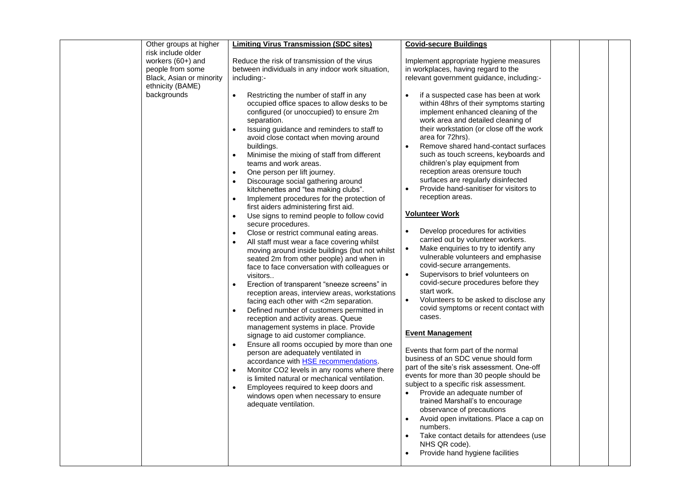| Other groups at higher<br>risk include older<br>workers $(60+)$ and<br>people from some<br>Black, Asian or minority<br>ethnicity (BAME)<br>backgrounds | <b>Limiting Virus Transmission (SDC sites)</b><br>Reduce the risk of transmission of the virus<br>between individuals in any indoor work situation,<br>including:-<br>Restricting the number of staff in any<br>occupied office spaces to allow desks to be<br>configured (or unoccupied) to ensure 2m<br>separation.<br>Issuing guidance and reminders to staff to<br>avoid close contact when moving around<br>buildings.<br>Minimise the mixing of staff from different<br>$\bullet$<br>teams and work areas.                                                                                                                                                                                                                                                                                                                                                             | <b>Covid-secure Buildings</b><br>Implement appropriate hygiene measures<br>in workplaces, having regard to the<br>relevant government guidance, including:-<br>if a suspected case has been at work<br>within 48hrs of their symptoms starting<br>implement enhanced cleaning of the<br>work area and detailed cleaning of<br>their workstation (or close off the work<br>area for 72hrs).<br>Remove shared hand-contact surfaces<br>$\bullet$<br>such as touch screens, keyboards and<br>children's play equipment from                                                                                                                                                                                                                                                                                                                                                                          |  |
|--------------------------------------------------------------------------------------------------------------------------------------------------------|------------------------------------------------------------------------------------------------------------------------------------------------------------------------------------------------------------------------------------------------------------------------------------------------------------------------------------------------------------------------------------------------------------------------------------------------------------------------------------------------------------------------------------------------------------------------------------------------------------------------------------------------------------------------------------------------------------------------------------------------------------------------------------------------------------------------------------------------------------------------------|---------------------------------------------------------------------------------------------------------------------------------------------------------------------------------------------------------------------------------------------------------------------------------------------------------------------------------------------------------------------------------------------------------------------------------------------------------------------------------------------------------------------------------------------------------------------------------------------------------------------------------------------------------------------------------------------------------------------------------------------------------------------------------------------------------------------------------------------------------------------------------------------------|--|
|                                                                                                                                                        | All staff must wear a face covering whilst<br>moving around inside buildings (but not whilst<br>seated 2m from other people) and when in<br>face to face conversation with colleagues or<br>visitors<br>Erection of transparent "sneeze screens" in<br>reception areas, interview areas, workstations<br>facing each other with <2m separation.<br>Defined number of customers permitted in<br>reception and activity areas. Queue<br>management systems in place. Provide<br>signage to aid customer compliance.<br>Ensure all rooms occupied by more than one<br>person are adequately ventilated in<br>accordance with <b>HSE</b> recommendations.<br>Monitor CO2 levels in any rooms where there<br>$\bullet$<br>is limited natural or mechanical ventilation.<br>Employees required to keep doors and<br>windows open when necessary to ensure<br>adequate ventilation. | carried out by volunteer workers.<br>Make enquiries to try to identify any<br>$\bullet$<br>vulnerable volunteers and emphasise<br>covid-secure arrangements.<br>Supervisors to brief volunteers on<br>$\bullet$<br>covid-secure procedures before they<br>start work.<br>Volunteers to be asked to disclose any<br>$\bullet$<br>covid symptoms or recent contact with<br>cases.<br><b>Event Management</b><br>Events that form part of the normal<br>business of an SDC venue should form<br>part of the site's risk assessment. One-off<br>events for more than 30 people should be<br>subject to a specific risk assessment.<br>Provide an adequate number of<br>trained Marshall's to encourage<br>observance of precautions<br>Avoid open invitations. Place a cap on<br>numbers.<br>Take contact details for attendees (use<br>NHS QR code).<br>Provide hand hygiene facilities<br>$\bullet$ |  |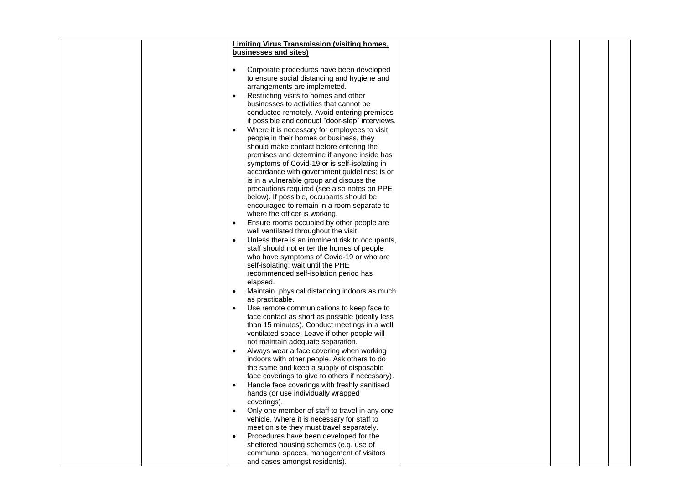|  | <b>Limiting Virus Transmission (visiting homes,</b> |  |  |
|--|-----------------------------------------------------|--|--|
|  |                                                     |  |  |
|  | businesses and sites)                               |  |  |
|  |                                                     |  |  |
|  | Corporate procedures have been developed            |  |  |
|  | to ensure social distancing and hygiene and         |  |  |
|  | arrangements are implemeted.                        |  |  |
|  | Restricting visits to homes and other               |  |  |
|  | businesses to activities that cannot be             |  |  |
|  |                                                     |  |  |
|  | conducted remotely. Avoid entering premises         |  |  |
|  | if possible and conduct "door-step" interviews.     |  |  |
|  | Where it is necessary for employees to visit        |  |  |
|  | people in their homes or business, they             |  |  |
|  | should make contact before entering the             |  |  |
|  | premises and determine if anyone inside has         |  |  |
|  | symptoms of Covid-19 or is self-isolating in        |  |  |
|  | accordance with government guidelines; is or        |  |  |
|  | is in a vulnerable group and discuss the            |  |  |
|  | precautions required (see also notes on PPE         |  |  |
|  | below). If possible, occupants should be            |  |  |
|  |                                                     |  |  |
|  | encouraged to remain in a room separate to          |  |  |
|  | where the officer is working.                       |  |  |
|  | Ensure rooms occupied by other people are           |  |  |
|  | well ventilated throughout the visit.               |  |  |
|  | Unless there is an imminent risk to occupants,      |  |  |
|  | staff should not enter the homes of people          |  |  |
|  | who have symptoms of Covid-19 or who are            |  |  |
|  | self-isolating; wait until the PHE                  |  |  |
|  | recommended self-isolation period has               |  |  |
|  | elapsed.                                            |  |  |
|  |                                                     |  |  |
|  | Maintain physical distancing indoors as much        |  |  |
|  | as practicable.                                     |  |  |
|  | Use remote communications to keep face to           |  |  |
|  | face contact as short as possible (ideally less     |  |  |
|  | than 15 minutes). Conduct meetings in a well        |  |  |
|  | ventilated space. Leave if other people will        |  |  |
|  | not maintain adequate separation.                   |  |  |
|  | Always wear a face covering when working            |  |  |
|  | indoors with other people. Ask others to do         |  |  |
|  | the same and keep a supply of disposable            |  |  |
|  | face coverings to give to others if necessary).     |  |  |
|  |                                                     |  |  |
|  | Handle face coverings with freshly sanitised        |  |  |
|  | hands (or use individually wrapped                  |  |  |
|  | coverings).                                         |  |  |
|  | Only one member of staff to travel in any one       |  |  |
|  | vehicle. Where it is necessary for staff to         |  |  |
|  | meet on site they must travel separately.           |  |  |
|  | Procedures have been developed for the              |  |  |
|  | sheltered housing schemes (e.g. use of              |  |  |
|  | communal spaces, management of visitors             |  |  |
|  | and cases amongst residents).                       |  |  |
|  |                                                     |  |  |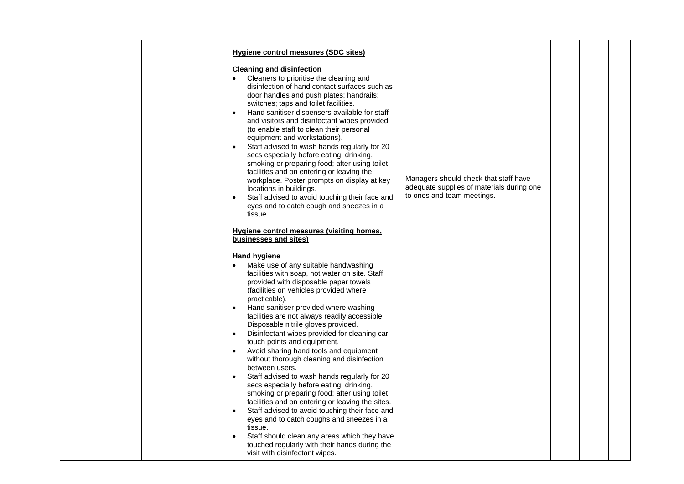|  | <b>Hygiene control measures (SDC sites)</b>                                                                                                                                                                                                                                                                                                                                                                                                                                                                                                                                                                                                                                                                                                                                                                                                                                                                                                                                                                                                   |                                                                                                                  |  |  |
|--|-----------------------------------------------------------------------------------------------------------------------------------------------------------------------------------------------------------------------------------------------------------------------------------------------------------------------------------------------------------------------------------------------------------------------------------------------------------------------------------------------------------------------------------------------------------------------------------------------------------------------------------------------------------------------------------------------------------------------------------------------------------------------------------------------------------------------------------------------------------------------------------------------------------------------------------------------------------------------------------------------------------------------------------------------|------------------------------------------------------------------------------------------------------------------|--|--|
|  | <b>Cleaning and disinfection</b><br>Cleaners to prioritise the cleaning and<br>disinfection of hand contact surfaces such as<br>door handles and push plates; handrails;<br>switches; taps and toilet facilities.<br>Hand sanitiser dispensers available for staff<br>$\bullet$<br>and visitors and disinfectant wipes provided<br>(to enable staff to clean their personal<br>equipment and workstations).<br>Staff advised to wash hands regularly for 20<br>$\bullet$<br>secs especially before eating, drinking,<br>smoking or preparing food; after using toilet<br>facilities and on entering or leaving the<br>workplace. Poster prompts on display at key<br>locations in buildings.<br>Staff advised to avoid touching their face and<br>$\bullet$<br>eyes and to catch cough and sneezes in a<br>tissue.                                                                                                                                                                                                                            | Managers should check that staff have<br>adequate supplies of materials during one<br>to ones and team meetings. |  |  |
|  | Hygiene control measures (visiting homes,<br>businesses and sites)                                                                                                                                                                                                                                                                                                                                                                                                                                                                                                                                                                                                                                                                                                                                                                                                                                                                                                                                                                            |                                                                                                                  |  |  |
|  | <b>Hand hygiene</b><br>Make use of any suitable handwashing<br>facilities with soap, hot water on site. Staff<br>provided with disposable paper towels<br>(facilities on vehicles provided where<br>practicable).<br>Hand sanitiser provided where washing<br>$\bullet$<br>facilities are not always readily accessible.<br>Disposable nitrile gloves provided.<br>Disinfectant wipes provided for cleaning car<br>$\bullet$<br>touch points and equipment.<br>Avoid sharing hand tools and equipment<br>$\bullet$<br>without thorough cleaning and disinfection<br>between users.<br>Staff advised to wash hands regularly for 20<br>secs especially before eating, drinking,<br>smoking or preparing food; after using toilet<br>facilities and on entering or leaving the sites.<br>Staff advised to avoid touching their face and<br>eyes and to catch coughs and sneezes in a<br>tissue.<br>Staff should clean any areas which they have<br>$\bullet$<br>touched regularly with their hands during the<br>visit with disinfectant wipes. |                                                                                                                  |  |  |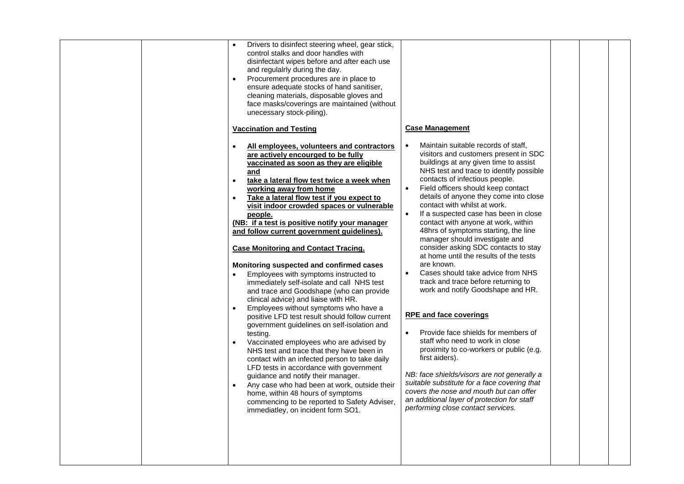| Drivers to disinfect steering wheel, gear stick,<br>$\bullet$<br>control stalks and door handles with<br>disinfectant wipes before and after each use<br>and regulalrly during the day.<br>Procurement procedures are in place to<br>$\bullet$<br>ensure adequate stocks of hand sanitiser,<br>cleaning materials, disposable gloves and<br>face masks/coverings are maintained (without<br>unecessary stock-piling).<br><b>Vaccination and Testing</b>                                                                                                                                                                                                                                                                                                                                                                                                                                                                                                                                                                                                                                                                                                                                                                                                                                             | <b>Case Management</b>                                                                                                                                                                                                                                                                                                                                                                                                                                                                                                                                                                                                                                                                                                                                                                                                                                                                                                                                                                                                                                                                                                                                   |
|-----------------------------------------------------------------------------------------------------------------------------------------------------------------------------------------------------------------------------------------------------------------------------------------------------------------------------------------------------------------------------------------------------------------------------------------------------------------------------------------------------------------------------------------------------------------------------------------------------------------------------------------------------------------------------------------------------------------------------------------------------------------------------------------------------------------------------------------------------------------------------------------------------------------------------------------------------------------------------------------------------------------------------------------------------------------------------------------------------------------------------------------------------------------------------------------------------------------------------------------------------------------------------------------------------|----------------------------------------------------------------------------------------------------------------------------------------------------------------------------------------------------------------------------------------------------------------------------------------------------------------------------------------------------------------------------------------------------------------------------------------------------------------------------------------------------------------------------------------------------------------------------------------------------------------------------------------------------------------------------------------------------------------------------------------------------------------------------------------------------------------------------------------------------------------------------------------------------------------------------------------------------------------------------------------------------------------------------------------------------------------------------------------------------------------------------------------------------------|
| All employees, volunteers and contractors<br>are actively encourged to be fully<br>vaccinated as soon as they are eligible<br>and<br>take a lateral flow test twice a week when<br>$\bullet$<br>working away from home<br>Take a lateral flow test if you expect to<br>$\bullet$<br>visit indoor crowded spaces or vulnerable<br>people.<br>(NB: if a test is positive notify your manager<br>and follow current government guidelines).<br><b>Case Monitoring and Contact Tracing.</b><br>Monitoring suspected and confirmed cases<br>Employees with symptoms instructed to<br>immediately self-isolate and call NHS test<br>and trace and Goodshape (who can provide<br>clinical advice) and liaise with HR.<br>Employees without symptoms who have a<br>$\bullet$<br>positive LFD test result should follow current<br>government guidelines on self-isolation and<br>testing.<br>Vaccinated employees who are advised by<br>$\bullet$<br>NHS test and trace that they have been in<br>contact with an infected person to take daily<br>LFD tests in accordance with government<br>guidance and notify their manager.<br>Any case who had been at work, outside their<br>home, within 48 hours of symptoms<br>commencing to be reported to Safety Adviser,<br>immediatley, on incident form SO1. | Maintain suitable records of staff,<br>$\bullet$<br>visitors and customers present in SDC<br>buildings at any given time to assist<br>NHS test and trace to identify possible<br>contacts of infectious people.<br>Field officers should keep contact<br>$\bullet$<br>details of anyone they come into close<br>contact with whilst at work.<br>If a suspected case has been in close<br>$\bullet$<br>contact with anyone at work, within<br>48hrs of symptoms starting, the line<br>manager should investigate and<br>consider asking SDC contacts to stay<br>at home until the results of the tests<br>are known.<br>Cases should take advice from NHS<br>track and trace before returning to<br>work and notify Goodshape and HR.<br><b>RPE and face coverings</b><br>Provide face shields for members of<br>$\bullet$<br>staff who need to work in close<br>proximity to co-workers or public (e.g.<br>first aiders).<br>NB: face shields/visors are not generally a<br>suitable substitute for a face covering that<br>covers the nose and mouth but can offer<br>an additional layer of protection for staff<br>performing close contact services. |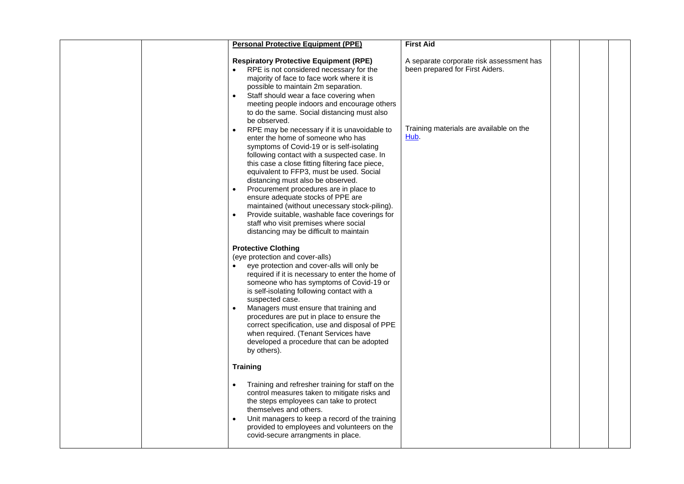|  | <b>Personal Protective Equipment (PPE)</b>                                                                                                                                                                                                                                                                                                                                                                                                                                                                                                                                                                                    | <b>First Aid</b>                                                            |  |  |
|--|-------------------------------------------------------------------------------------------------------------------------------------------------------------------------------------------------------------------------------------------------------------------------------------------------------------------------------------------------------------------------------------------------------------------------------------------------------------------------------------------------------------------------------------------------------------------------------------------------------------------------------|-----------------------------------------------------------------------------|--|--|
|  | <b>Respiratory Protective Equipment (RPE)</b><br>RPE is not considered necessary for the<br>majority of face to face work where it is<br>possible to maintain 2m separation.<br>Staff should wear a face covering when<br>$\bullet$<br>meeting people indoors and encourage others<br>to do the same. Social distancing must also<br>be observed.                                                                                                                                                                                                                                                                             | A separate corporate risk assessment has<br>been prepared for First Aiders. |  |  |
|  | RPE may be necessary if it is unavoidable to<br>$\bullet$<br>enter the home of someone who has<br>symptoms of Covid-19 or is self-isolating<br>following contact with a suspected case. In<br>this case a close fitting filtering face piece,<br>equivalent to FFP3, must be used. Social<br>distancing must also be observed.<br>Procurement procedures are in place to<br>$\bullet$<br>ensure adequate stocks of PPE are<br>maintained (without unecessary stock-piling).<br>Provide suitable, washable face coverings for<br>$\bullet$<br>staff who visit premises where social<br>distancing may be difficult to maintain | Training materials are available on the<br>Hub.                             |  |  |
|  | <b>Protective Clothing</b><br>(eye protection and cover-alls)<br>eye protection and cover-alls will only be<br>required if it is necessary to enter the home of<br>someone who has symptoms of Covid-19 or<br>is self-isolating following contact with a<br>suspected case.<br>Managers must ensure that training and<br>procedures are put in place to ensure the<br>correct specification, use and disposal of PPE<br>when required. (Tenant Services have<br>developed a procedure that can be adopted<br>by others).                                                                                                      |                                                                             |  |  |
|  | <b>Training</b>                                                                                                                                                                                                                                                                                                                                                                                                                                                                                                                                                                                                               |                                                                             |  |  |
|  | Training and refresher training for staff on the<br>control measures taken to mitigate risks and<br>the steps employees can take to protect<br>themselves and others.<br>Unit managers to keep a record of the training<br>$\bullet$<br>provided to employees and volunteers on the<br>covid-secure arrangments in place.                                                                                                                                                                                                                                                                                                     |                                                                             |  |  |